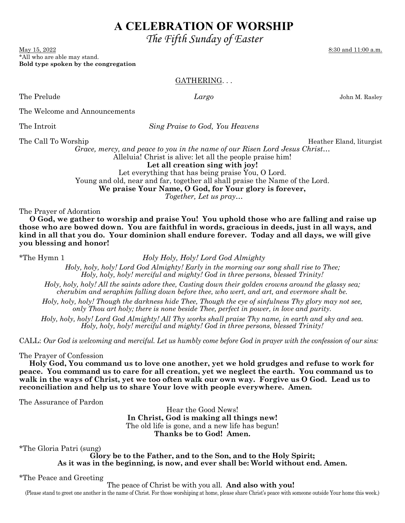# **A CELEBRATION OF WORSHIP**

 *The Fifth Sunday of Easter* 

May 15, 2022 8:30 and 11:00 a.m. \*All who are able may stand. **Bold type spoken by the congregation** 

## GATHERING. . .

The Prelude *Largo* John M. Rasley

The Welcome and Announcements

The Introit *Sing Praise to God, You Heavens* 

The Call To Worship The Call To Worship Heather Eland, liturgist

*Grace, mercy, and peace to you in the name of our Risen Lord Jesus Christ…*  Alleluia! Christ is alive: let all the people praise him!

**Let all creation sing with joy!** 

Let everything that has being praise You, O Lord. Young and old, near and far, together all shall praise the Name of the Lord. **We praise Your Name, O God, for Your glory is forever,** 

*Together, Let us pray…*

The Prayer of Adoration

 **O God, we gather to worship and praise You! You uphold those who are falling and raise up those who are bowed down. You are faithful in words, gracious in deeds, just in all ways, and kind in all that you do. Your dominion shall endure forever. Today and all days, we will give you blessing and honor!** 

\*The Hymn 1 *Holy Holy, Holy! Lord God Almighty*

*Holy, holy, holy! Lord God Almighty! Early in the morning our song shall rise to Thee; Holy, holy, holy! merciful and mighty! God in three persons, blessed Trinity!* 

*Holy, holy, holy! All the saints adore thee, Casting down their golden crowns around the glassy sea; cherubim and seraphim falling down before thee, who wert, and art, and evermore shalt be.* 

*Holy, holy, holy! Though the darkness hide Thee, Though the eye of sinfulness Thy glory may not see, only Thou art holy; there is none beside Thee, perfect in power, in love and purity.* 

*Holy, holy, holy! Lord God Almighty! All Thy works shall praise Thy name, in earth and sky and sea. Holy, holy, holy! merciful and mighty! God in three persons, blessed Trinity!* 

CALL: *Our God is welcoming and merciful. Let us humbly come before God in prayer with the confession of our sins:* 

The Prayer of Confession

 **Holy God, You command us to love one another, yet we hold grudges and refuse to work for peace. You command us to care for all creation, yet we neglect the earth. You command us to walk in the ways of Christ, yet we too often walk our own way. Forgive us O God. Lead us to reconciliation and help us to share Your love with people everywhere. Amen.** 

The Assurance of Pardon

Hear the Good News! **In Christ, God is making all things new!**  The old life is gone, and a new life has begun! **Thanks be to God! Amen.**

\*The Gloria Patri (sung)

**Glory be to the Father, and to the Son, and to the Holy Spirit; As it was in the beginning, is now, and ever shall be: World without end. Amen.** 

\*The Peace and Greeting

The peace of Christ be with you all. **And also with you!**

(Please stand to greet one another in the name of Christ. For those worshiping at home, please share Christ's peace with someone outside Your home this week.)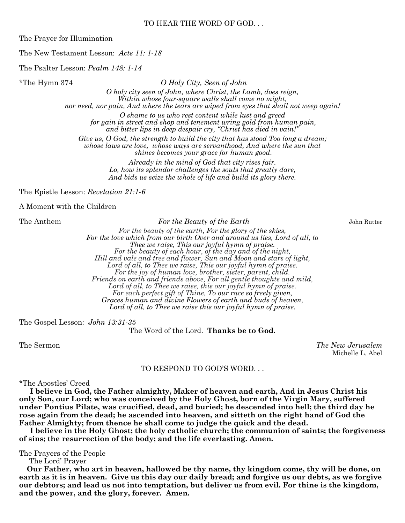#### TO HEAR THE WORD OF GOD. . .

The Prayer for Illumination

The New Testament Lesson: *Acts 11: 1-18*

The Psalter Lesson: *Psalm 148: 1-14*

\*The Hymn 374 *O Holy City, Seen of John* 

*O holy city seen of John, where Christ, the Lamb, does reign, Within whose four-square walls shall come no might, nor need, nor pain, And where the tears are wiped from eyes that shall not weep again!* 

*O shame to us who rest content while lust and greed for gain in street and shop and tenement wring gold from human pain, and bitter lips in deep despair cry, "Christ has died in vain!"* 

*Give us, O God, the strength to build the city that has stood Too long a dream; whose laws are love, whose ways are servanthood, And where the sun that shines becomes your grace for human good.* 

> *Already in the mind of God that city rises fair. Lo, how its splendor challenges the souls that greatly dare, And bids us seize the whole of life and build its glory there.*

The Epistle Lesson: *Revelation 21:1-6*

A Moment with the Children

The Anthem *For the Beauty of the Earth* John Rutter

*For the beauty of the earth, For the glory of the skies, For the love which from our birth Over and around us lies, Lord of all, to Thee we raise, This our joyful hymn of praise. For the beauty of each hour, of the day and of the night, Hill and vale and tree and flower, Sun and Moon and stars of light, Lord of all, to Thee we raise, This our joyful hymn of praise. For the joy of human love, brother, sister, parent, child. Friends on earth and friends above, For all gentle thoughts and mild, Lord of all, to Thee we raise, this our joyful hymn of praise. For each perfect gift of Thine, To our race so freely given, Graces human and divine Flowers of earth and buds of heaven, Lord of all, to Thee we raise this our joyful hymn of praise.*

The Gospel Lesson: *John 13:31-35*

The Word of the Lord. **Thanks be to God.** 

The Sermon *The New Jerusalem* Michelle L. Abel

#### TO RESPOND TO GOD'S WORD. . .

\*The Apostles' Creed

 **I believe in God, the Father almighty, Maker of heaven and earth, And in Jesus Christ his only Son, our Lord; who was conceived by the Holy Ghost, born of the Virgin Mary, suffered under Pontius Pilate, was crucified, dead, and buried; he descended into hell; the third day he rose again from the dead; he ascended into heaven, and sitteth on the right hand of God the Father Almighty; from thence he shall come to judge the quick and the dead.** 

 **I believe in the Holy Ghost; the holy catholic church; the communion of saints; the forgiveness of sins; the resurrection of the body; and the life everlasting. Amen.** 

The Prayers of the People

The Lord' Prayer

 **Our Father, who art in heaven, hallowed be thy name, thy kingdom come, thy will be done, on earth as it is in heaven. Give us this day our daily bread; and forgive us our debts, as we forgive our debtors; and lead us not into temptation, but deliver us from evil. For thine is the kingdom, and the power, and the glory, forever. Amen.**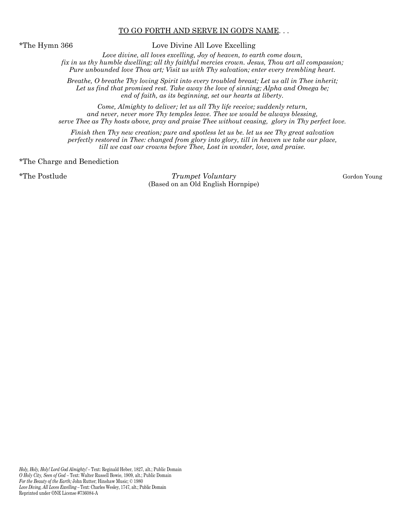#### TO GO FORTH AND SERVE IN GOD'S NAME. . .

\*The Hymn 366 Love Divine All Love Excelling

*Love divine, all loves excelling, Joy of heaven, to earth come down, fix in us thy humble dwelling; all thy faithful mercies crown. Jesus, Thou art all compassion; Pure unbounded love Thou art; Visit us with Thy salvation; enter every trembling heart.* 

*Breathe, O breathe Thy loving Spirit into every troubled breast; Let us all in Thee inherit;*  Let us find that promised rest. Take away the love of sinning; Alpha and Omega be; *end of faith, as its beginning, set our hearts at liberty.* 

*Come, Almighty to deliver; let us all Thy life receive; suddenly return, and never, never more Thy temples leave. Thee we would be always blessing, serve Thee as Thy hosts above, pray and praise Thee without ceasing, glory in Thy perfect love.* 

*Finish then Thy new creation; pure and spotless let us be. let us see Thy great salvation perfectly restored in Thee: changed from glory into glory, till in heaven we take our place, till we cast our crowns before Thee, Lost in wonder, love, and praise.* 

#### \*The Charge and Benediction

\*The Postlude *Trumpet Voluntary* Gordon Young (Based on an Old English Hornpipe)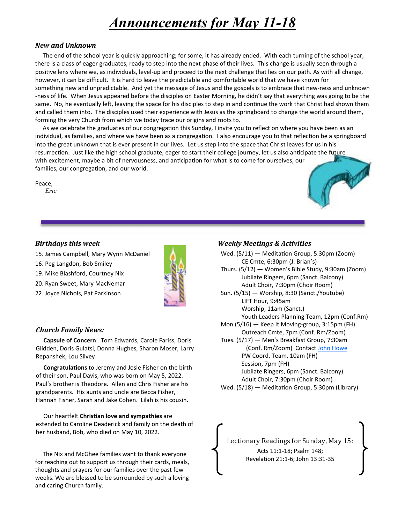# *Announcements for May 11-18*

#### *New and Unknown*

 The end of the school year is quickly approaching; for some, it has already ended. With each turning of the school year, there is a class of eager graduates, ready to step into the next phase of their lives. This change is usually seen through a positive lens where we, as individuals, level-up and proceed to the next challenge that lies on our path. As with all change, however, it can be difficult. It is hard to leave the predictable and comfortable world that we have known for something new and unpredictable. And yet the message of Jesus and the gospels is to embrace that new-ness and unknown -ness of life. When Jesus appeared before the disciples on Easter Morning, he didn't say that everything was going to be the same. No, he eventually left, leaving the space for his disciples to step in and continue the work that Christ had shown them and called them into. The disciples used their experience with Jesus as the springboard to change the world around them, forming the very Church from which we today trace our origins and roots to.

As we celebrate the graduates of our congregation this Sunday, I invite you to reflect on where you have been as an individual, as families, and where we have been as a congregation. I also encourage you to that reflection be a springboard into the great unknown that is ever present in our lives. Let us step into the space that Christ leaves for us in his resurrection. Just like the high school graduate, eager to start their college journey, let us also anticipate the future with excitement, maybe a bit of nervousness, and anticipation for what is to come for ourselves, our families, our congregation, and our world.

Peace,

 *Eric*



- 15. James Campbell, Mary Wynn McDaniel
- 16. Peg Langdon, Bob Smiley
- 19. Mike Blashford, Courtney Nix
- 20. Ryan Sweet, Mary MacNemar
- 22. Joyce Nichols, Pat Parkinson



## *Church Family News:*

 **Capsule of Concern**: Tom Edwards, Carole Fariss, Doris Glidden, Doris Gulatsi, Donna Hughes, Sharon Moser, Larry Repanshek, Lou Silvey

**Congratulations** to Jeremy and Josie Fisher on the birth of their son, Paul Davis, who was born on May 5, 2022. Paul's brother is Theodore. Allen and Chris Fisher are his grandparents. His aunts and uncle are Becca Fisher, Hannah Fisher, Sarah and Jake Cohen. Lilah is his cousin.

**Our heartfelt Christian love and sympathies** are extended to Caroline Deaderick and family on the death of her husband, Bob, who died on May 10, 2022.

 The Nix and McGhee families want to thank everyone for reaching out to support us through their cards, meals, thoughts and prayers for our families over the past few weeks. We are blessed to be surrounded by such a loving and caring Church family.

# *Weekly Meetings & Activities*

Wed.  $(5/11)$  – Meditation Group, 5:30pm (Zoom) CE Cmte, 6:30pm (J. Brian's) Thurs. (5/12) **—** Women's Bible Study, 9:30am (Zoom) Jubilate Ringers, 6pm (Sanct. Balcony) Adult Choir, 7:30pm (Choir Room) Sun. (5/15) — Worship, 8:30 (Sanct./Youtube) LIFT Hour, 9:45am Worship, 11am (Sanct.) Youth Leaders Planning Team, 12pm (Conf.Rm) Mon (5/16) — Keep It Moving-group, 3:15pm (FH) Outreach Cmte, 7pm (Conf. Rm/Zoom) Tues. (5/17) — Men's Breakfast Group, 7:30am (Conf. Rm/Zoom) Contact John Howe PW Coord. Team, 10am (FH) Session, 7pm (FH) Jubilate Ringers, 6pm (Sanct. Balcony) Adult Choir, 7:30pm (Choir Room) Wed.  $(5/18)$  – Meditation Group, 5:30pm (Library)

Lectionary Readings for Sunday, May 15: Acts 11:1-18; Psalm 148; Revelation 21:1-6; John 13:31-35